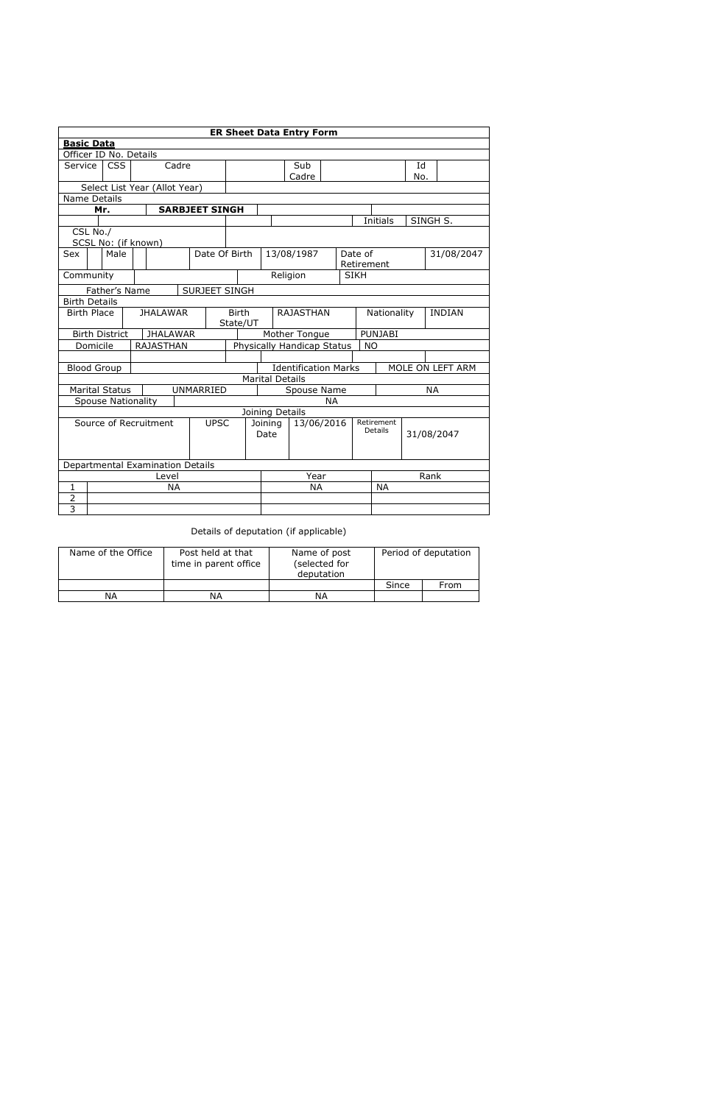Details of deputation (if applicable)

| Name of the Office | Post held at that<br>time in parent office | Name of post<br>(selected for<br>deputation | Period of deputation |      |  |  |
|--------------------|--------------------------------------------|---------------------------------------------|----------------------|------|--|--|
|                    |                                            |                                             | Since                | From |  |  |
| ΝA                 | ΝA                                         | ΝA                                          |                      |      |  |  |

|                                          |                                       |                           |  |                                  |              |                       |  |                                                                            |             | <b>ER Sheet Data Entry Form</b> |             |             |            |               |           |                  |  |
|------------------------------------------|---------------------------------------|---------------------------|--|----------------------------------|--------------|-----------------------|--|----------------------------------------------------------------------------|-------------|---------------------------------|-------------|-------------|------------|---------------|-----------|------------------|--|
| <b>Basic Data</b>                        |                                       |                           |  |                                  |              |                       |  |                                                                            |             |                                 |             |             |            |               |           |                  |  |
|                                          |                                       | Officer ID No. Details    |  |                                  |              |                       |  |                                                                            |             |                                 |             |             |            |               |           |                  |  |
| Service                                  |                                       | <b>CSS</b><br>Cadre       |  |                                  |              |                       |  |                                                                            | Sub         |                                 |             |             |            | Id            |           |                  |  |
|                                          |                                       |                           |  |                                  |              |                       |  |                                                                            |             | Cadre                           |             |             |            |               | No.       |                  |  |
| Select List Year (Allot Year)            |                                       |                           |  |                                  |              |                       |  |                                                                            |             |                                 |             |             |            |               |           |                  |  |
| Name Details                             |                                       |                           |  |                                  |              |                       |  |                                                                            |             |                                 |             |             |            |               |           |                  |  |
|                                          |                                       | Mr.                       |  |                                  |              | <b>SARBJEET SINGH</b> |  |                                                                            |             |                                 |             |             |            |               |           |                  |  |
|                                          |                                       |                           |  |                                  |              |                       |  |                                                                            |             |                                 |             |             |            | Initials      |           | SINGH S.         |  |
|                                          | CSL No./                              |                           |  |                                  |              |                       |  |                                                                            |             |                                 |             |             |            |               |           |                  |  |
|                                          |                                       | SCSL No: (if known)       |  |                                  |              |                       |  |                                                                            |             |                                 |             |             |            |               |           |                  |  |
| Sex                                      |                                       | Male                      |  |                                  |              | Date Of Birth         |  |                                                                            |             | 13/08/1987                      |             |             | Date of    |               |           | 31/08/2047       |  |
| Community                                |                                       |                           |  |                                  |              |                       |  |                                                                            |             | Religion                        |             | <b>SIKH</b> | Retirement |               |           |                  |  |
|                                          |                                       |                           |  |                                  |              |                       |  |                                                                            |             |                                 |             |             |            |               |           |                  |  |
|                                          |                                       | Father's Name             |  |                                  |              | <b>SURJEET SINGH</b>  |  |                                                                            |             |                                 |             |             |            |               |           |                  |  |
| <b>Birth Details</b>                     |                                       |                           |  |                                  |              |                       |  |                                                                            |             |                                 |             |             |            |               |           |                  |  |
|                                          | <b>Birth Place</b><br><b>JHALAWAR</b> |                           |  |                                  | <b>Birth</b> |                       |  | <b>RAJASTHAN</b>                                                           |             |                                 | Nationality |             |            | <b>INDIAN</b> |           |                  |  |
| <b>Birth District</b><br><b>JHALAWAR</b> |                                       |                           |  |                                  |              | State/UT              |  |                                                                            |             |                                 |             |             |            |               |           |                  |  |
|                                          | Domicile                              |                           |  | <b>RAJASTHAN</b>                 |              |                       |  | Mother Tongue<br><b>PUNJABI</b><br>Physically Handicap Status<br><b>NO</b> |             |                                 |             |             |            |               |           |                  |  |
|                                          |                                       |                           |  |                                  |              |                       |  |                                                                            |             |                                 |             |             |            |               |           |                  |  |
|                                          |                                       | <b>Blood Group</b>        |  |                                  |              |                       |  |                                                                            |             | <b>Identification Marks</b>     |             |             |            |               |           | MOLE ON LEFT ARM |  |
|                                          |                                       |                           |  |                                  |              |                       |  |                                                                            |             | <b>Marital Details</b>          |             |             |            |               |           |                  |  |
|                                          |                                       | <b>Marital Status</b>     |  |                                  |              | UNMARRIED             |  |                                                                            | Spouse Name |                                 |             |             |            |               | <b>NA</b> |                  |  |
|                                          |                                       | <b>Spouse Nationality</b> |  |                                  |              |                       |  | <b>NA</b>                                                                  |             |                                 |             |             |            |               |           |                  |  |
|                                          |                                       |                           |  |                                  |              |                       |  |                                                                            |             | Joining Details                 |             |             |            |               |           |                  |  |
|                                          |                                       |                           |  | Source of Recruitment            |              | <b>UPSC</b>           |  | 13/06/2016<br>Joining                                                      |             |                                 |             | Retirement  |            |               |           |                  |  |
|                                          |                                       |                           |  |                                  |              |                       |  |                                                                            | Date        |                                 |             |             | Details    |               |           | 31/08/2047       |  |
|                                          |                                       |                           |  |                                  |              |                       |  |                                                                            |             |                                 |             |             |            |               |           |                  |  |
|                                          |                                       |                           |  |                                  |              |                       |  |                                                                            |             |                                 |             |             |            |               |           |                  |  |
|                                          |                                       |                           |  | Departmental Examination Details |              |                       |  |                                                                            |             |                                 |             |             |            |               |           |                  |  |
|                                          | Level                                 |                           |  |                                  |              | Year                  |  |                                                                            |             | Rank                            |             |             |            |               |           |                  |  |
| $\mathbf 1$                              |                                       |                           |  |                                  | <b>NA</b>    |                       |  |                                                                            |             | <b>NA</b>                       |             |             |            | <b>NA</b>     |           |                  |  |
| $\overline{2}$                           |                                       |                           |  |                                  |              |                       |  |                                                                            |             |                                 |             |             |            |               |           |                  |  |
| $\overline{3}$                           |                                       |                           |  |                                  |              |                       |  |                                                                            |             |                                 |             |             |            |               |           |                  |  |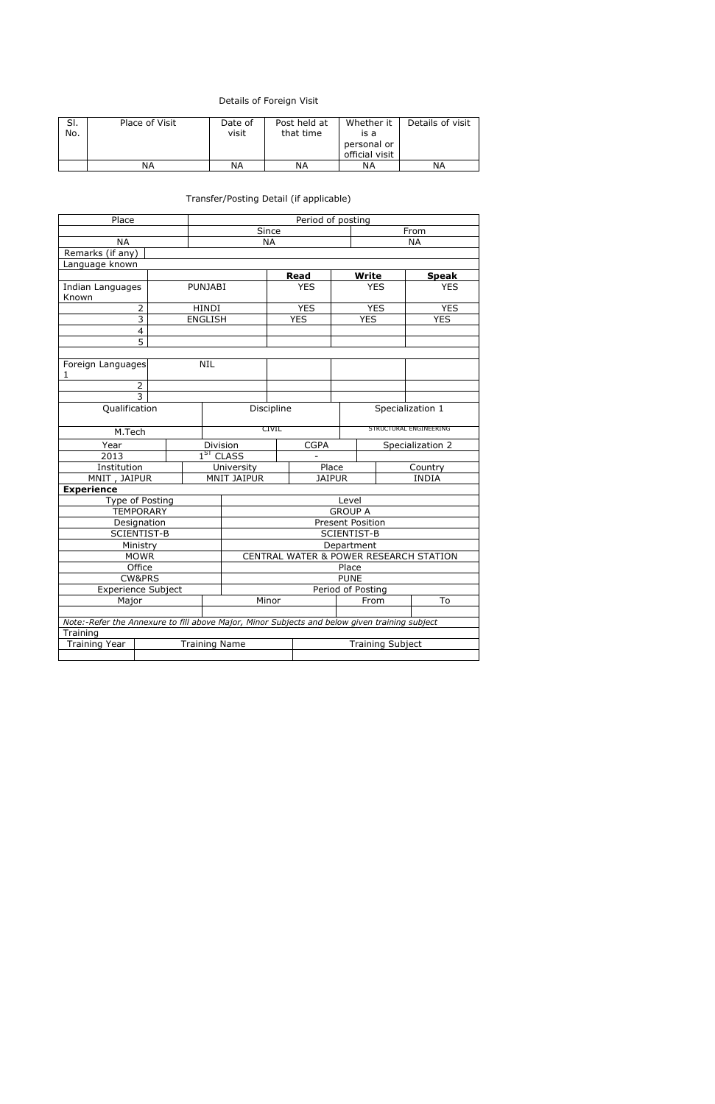## Details of Foreign Visit

| SI. | Place of Visit | Date of | Post held at | Whether it     | Details of visit |
|-----|----------------|---------|--------------|----------------|------------------|
| No. |                | visit   | that time    | is a           |                  |
|     |                |         |              | personal or    |                  |
|     |                |         |              | official visit |                  |
|     | ΝA             | ΝA      | ΝA           | ΝA             | ΝA               |

## Transfer/Posting Detail (if applicable)

| Place                                                                                         |                                 |             | Period of posting |                                        |      |            |              |                        |            |  |  |
|-----------------------------------------------------------------------------------------------|---------------------------------|-------------|-------------------|----------------------------------------|------|------------|--------------|------------------------|------------|--|--|
|                                                                                               |                                 |             |                   | Since                                  | From |            |              |                        |            |  |  |
| <b>NA</b>                                                                                     |                                 |             |                   | <b>NA</b>                              |      |            |              |                        | <b>NA</b>  |  |  |
| Remarks (if any)                                                                              |                                 |             |                   |                                        |      |            |              |                        |            |  |  |
| Language known                                                                                |                                 |             |                   |                                        |      |            |              |                        |            |  |  |
|                                                                                               |                                 |             |                   | <b>Read</b>                            |      |            | <b>Write</b> | <b>Speak</b>           |            |  |  |
| <b>Indian Languages</b><br>Known                                                              |                                 |             | <b>PUNJABI</b>    |                                        |      | <b>YES</b> |              | <b>YES</b>             | <b>YES</b> |  |  |
|                                                                                               | $\overline{2}$                  |             | <b>HINDI</b>      |                                        |      | <b>YES</b> |              | <b>YES</b>             | <b>YES</b> |  |  |
|                                                                                               | 3                               |             | <b>ENGLISH</b>    |                                        |      | <b>YES</b> |              | <b>YES</b>             | <b>YES</b> |  |  |
|                                                                                               | $\overline{4}$                  |             |                   |                                        |      |            |              |                        |            |  |  |
|                                                                                               | 5                               |             |                   |                                        |      |            |              |                        |            |  |  |
| 1.                                                                                            | <b>NIL</b><br>Foreign Languages |             |                   |                                        |      |            |              |                        |            |  |  |
|                                                                                               | $\overline{2}$                  |             |                   |                                        |      |            |              |                        |            |  |  |
| $\overline{3}$                                                                                |                                 |             |                   |                                        |      |            |              |                        |            |  |  |
| Qualification                                                                                 |                                 |             |                   | Discipline                             |      |            |              | Specialization 1       |            |  |  |
| M.Tech                                                                                        |                                 |             |                   | CIVIL                                  |      |            |              | STRUCTURAL ENGINEERING |            |  |  |
| Year                                                                                          |                                 |             |                   | Division<br><b>CGPA</b>                |      |            |              | Specialization 2       |            |  |  |
| 2013                                                                                          |                                 |             |                   | 1 <sup>ST</sup> CLASS                  |      |            |              |                        |            |  |  |
| Institution                                                                                   |                                 |             |                   | University<br>Place                    |      |            |              | Country                |            |  |  |
| MNIT, JAIPUR                                                                                  |                                 |             |                   | <b>MNIT JAIPUR</b><br><b>JAIPUR</b>    |      |            |              | <b>INDIA</b>           |            |  |  |
| <b>Experience</b>                                                                             |                                 |             |                   |                                        |      |            |              |                        |            |  |  |
| Type of Posting                                                                               |                                 |             |                   | Level                                  |      |            |              |                        |            |  |  |
|                                                                                               | <b>TEMPORARY</b>                |             |                   | <b>GROUP A</b>                         |      |            |              |                        |            |  |  |
|                                                                                               | Designation                     |             |                   | <b>Present Position</b>                |      |            |              |                        |            |  |  |
|                                                                                               | <b>SCIENTIST-B</b>              |             |                   | <b>SCIENTIST-B</b>                     |      |            |              |                        |            |  |  |
|                                                                                               | Ministry                        |             |                   | Department                             |      |            |              |                        |            |  |  |
|                                                                                               | <b>MOWR</b>                     |             |                   | CENTRAL WATER & POWER RESEARCH STATION |      |            |              |                        |            |  |  |
|                                                                                               | Office                          |             |                   | Place                                  |      |            |              |                        |            |  |  |
| <b>CW&amp;PRS</b>                                                                             |                                 | <b>PUNE</b> |                   |                                        |      |            |              |                        |            |  |  |
| <b>Experience Subject</b>                                                                     | Period of Posting               |             |                   |                                        |      |            |              |                        |            |  |  |
| Major                                                                                         |                                 |             | Minor             |                                        |      | From       | To           |                        |            |  |  |
| Note:-Refer the Annexure to fill above Major, Minor Subjects and below given training subject |                                 |             |                   |                                        |      |            |              |                        |            |  |  |
| Training                                                                                      |                                 |             |                   |                                        |      |            |              |                        |            |  |  |
| <b>Training Year</b><br><b>Training Name</b>                                                  |                                 |             |                   | <b>Training Subject</b>                |      |            |              |                        |            |  |  |
|                                                                                               |                                 |             |                   |                                        |      |            |              |                        |            |  |  |